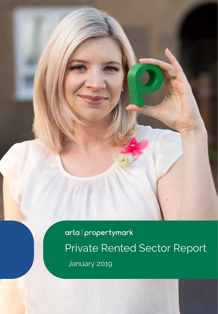arla | propertymark Private Rented Sector Report January 2019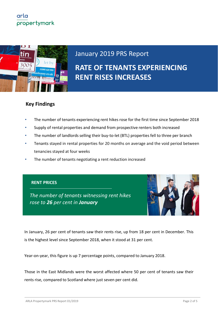

# January 2019 PRS Report

**RATE OF TENANTS EXPERIENCING RENT RISES INCREASES**

### **Key Findings**

- The number of tenants experiencing rent hikes rose for the first time since September 2018
- Supply of rental properties and demand from prospective renters both increased
- The number of landlords selling their buy-to-let (BTL) properties fell to three per branch
- Tenants stayed in rental properties for 20 months on average and the void period between tenancies stayed at four weeks
- The number of tenants negotiating a rent reduction increased

#### **RENT PRICES**

*The number of tenants witnessing rent hikes rose to 26 per cent in January*



In January, 26 per cent of tenants saw their rents rise, up from 18 per cent in December. This is the highest level since September 2018, when it stood at 31 per cent.

Year-on-year, this figure is up 7 percentage points, compared to January 2018.

Those in the East Midlands were the worst affected where 50 per cent of tenants saw their rents rise, compared to Scotland where just seven per cent did.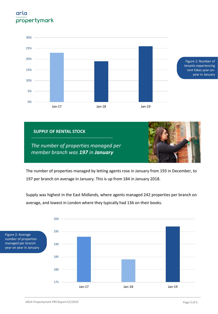





*The number of properties managed per member branch was 197 in January*

The number of properties managed by letting agents rose in January from 193 in December, to 197 per branch on average in January. This is up from 184 in January 2018.

Supply was highest in the East Midlands, where agents managed 242 properties per branch on average, and lowest in London where they typically had 136 on their books.

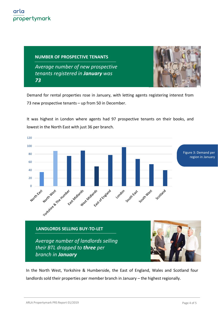**NUMBER OF PROSPECTIVE TENANTS**

*The number of agents witnessing rent hikes increased to 35% in August Average number of new prospective tenants registered in January was 73*



Demand for rental properties rose in January, with letting agents registering interest from 73 new prospective tenants – up from 50 in December.

It was highest in London where agents had 97 prospective tenants on their books, and lowest in the North East with just 36 per branch.



In the North West, Yorkshire & Humberside, the East of England, Wales and Scotland four landlords sold their properties per member branch in January – the highest regionally.